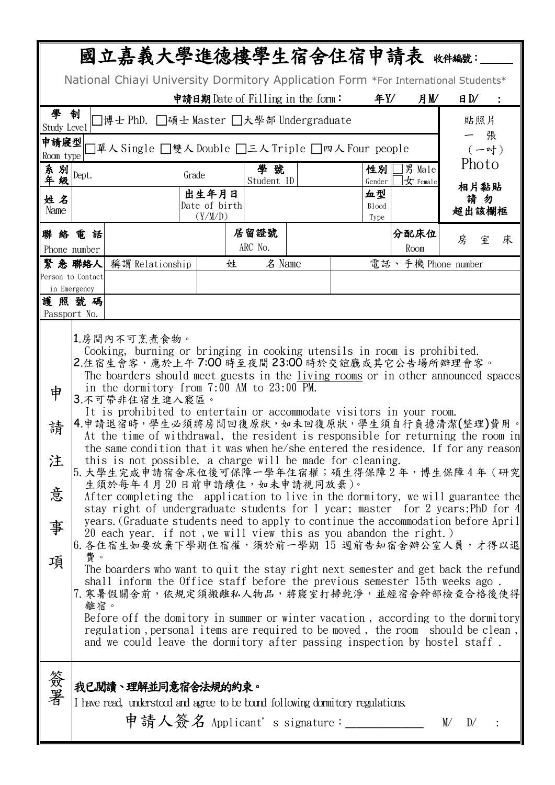| 國立嘉義大學進德樓學生宿舍住宿申請表 *####:                                                                                                                                                                                                                                                                                                                                                                                                                                                                                                                                                                                                                                                                                                                                                                                                                                                                                                                                                                                                                                                                                                                                                                                                                                                                                                                                                                                                                                                                                                                                                                                                                     |                      |                                                                                                                                       |                        |   |                    |                                   |                          |       |                            |    |                |   |
|-----------------------------------------------------------------------------------------------------------------------------------------------------------------------------------------------------------------------------------------------------------------------------------------------------------------------------------------------------------------------------------------------------------------------------------------------------------------------------------------------------------------------------------------------------------------------------------------------------------------------------------------------------------------------------------------------------------------------------------------------------------------------------------------------------------------------------------------------------------------------------------------------------------------------------------------------------------------------------------------------------------------------------------------------------------------------------------------------------------------------------------------------------------------------------------------------------------------------------------------------------------------------------------------------------------------------------------------------------------------------------------------------------------------------------------------------------------------------------------------------------------------------------------------------------------------------------------------------------------------------------------------------|----------------------|---------------------------------------------------------------------------------------------------------------------------------------|------------------------|---|--------------------|-----------------------------------|--------------------------|-------|----------------------------|----|----------------|---|
| National Chiayi University Dormitory Application Form *For International Students*                                                                                                                                                                                                                                                                                                                                                                                                                                                                                                                                                                                                                                                                                                                                                                                                                                                                                                                                                                                                                                                                                                                                                                                                                                                                                                                                                                                                                                                                                                                                                            |                      |                                                                                                                                       |                        |   |                    |                                   |                          |       |                            |    |                |   |
|                                                                                                                                                                                                                                                                                                                                                                                                                                                                                                                                                                                                                                                                                                                                                                                                                                                                                                                                                                                                                                                                                                                                                                                                                                                                                                                                                                                                                                                                                                                                                                                                                                               |                      |                                                                                                                                       |                        |   |                    | 申請日期 Date of Filling in the form: |                          | 年Y/   | 月M                         |    | B <sub>N</sub> |   |
| 學<br>制<br>コ博士 PhD.□碩士 Master □大學部 Undergraduate<br>貼照片<br>Study Level                                                                                                                                                                                                                                                                                                                                                                                                                                                                                                                                                                                                                                                                                                                                                                                                                                                                                                                                                                                                                                                                                                                                                                                                                                                                                                                                                                                                                                                                                                                                                                         |                      |                                                                                                                                       |                        |   |                    |                                   |                          |       |                            |    |                |   |
| 張<br>申請寢型<br>]單人 Single □雙人 Double □三人 Triple □四人 Four people<br>$(-$ 吋)                                                                                                                                                                                                                                                                                                                                                                                                                                                                                                                                                                                                                                                                                                                                                                                                                                                                                                                                                                                                                                                                                                                                                                                                                                                                                                                                                                                                                                                                                                                                                                      |                      |                                                                                                                                       |                        |   |                    |                                   |                          |       |                            |    |                |   |
| Room type                                                                                                                                                                                                                                                                                                                                                                                                                                                                                                                                                                                                                                                                                                                                                                                                                                                                                                                                                                                                                                                                                                                                                                                                                                                                                                                                                                                                                                                                                                                                                                                                                                     |                      |                                                                                                                                       |                        |   | 男 Male<br>學號<br>性別 |                                   |                          | Photo |                            |    |                |   |
| 系别                                                                                                                                                                                                                                                                                                                                                                                                                                                                                                                                                                                                                                                                                                                                                                                                                                                                                                                                                                                                                                                                                                                                                                                                                                                                                                                                                                                                                                                                                                                                                                                                                                            | Dept.                |                                                                                                                                       | Grade                  |   | Student ID         |                                   | Gender                   |       | $x$ Female                 |    | 相片黏貼           |   |
| 姓名                                                                                                                                                                                                                                                                                                                                                                                                                                                                                                                                                                                                                                                                                                                                                                                                                                                                                                                                                                                                                                                                                                                                                                                                                                                                                                                                                                                                                                                                                                                                                                                                                                            |                      |                                                                                                                                       | 出生年月日<br>Date of birth |   |                    |                                   | 血型<br>B <sub>l</sub> ood |       |                            |    | 請勿             |   |
| Name                                                                                                                                                                                                                                                                                                                                                                                                                                                                                                                                                                                                                                                                                                                                                                                                                                                                                                                                                                                                                                                                                                                                                                                                                                                                                                                                                                                                                                                                                                                                                                                                                                          |                      |                                                                                                                                       | (Y/M/D)                |   |                    |                                   | Type                     |       |                            |    | 超出該欄框          |   |
|                                                                                                                                                                                                                                                                                                                                                                                                                                                                                                                                                                                                                                                                                                                                                                                                                                                                                                                                                                                                                                                                                                                                                                                                                                                                                                                                                                                                                                                                                                                                                                                                                                               | 聯絡電話                 |                                                                                                                                       |                        |   | 居留證號<br>ARC No.    |                                   |                          |       | 分配床位                       | 房  | 室              | 床 |
| Phone number                                                                                                                                                                                                                                                                                                                                                                                                                                                                                                                                                                                                                                                                                                                                                                                                                                                                                                                                                                                                                                                                                                                                                                                                                                                                                                                                                                                                                                                                                                                                                                                                                                  |                      | 緊急聯絡人 稱謂 Relationship                                                                                                                 |                        | 姓 | 名 Name             |                                   |                          |       | Room<br>電話、手機 Phone number |    |                |   |
| Person to Contact                                                                                                                                                                                                                                                                                                                                                                                                                                                                                                                                                                                                                                                                                                                                                                                                                                                                                                                                                                                                                                                                                                                                                                                                                                                                                                                                                                                                                                                                                                                                                                                                                             |                      |                                                                                                                                       |                        |   |                    |                                   |                          |       |                            |    |                |   |
|                                                                                                                                                                                                                                                                                                                                                                                                                                                                                                                                                                                                                                                                                                                                                                                                                                                                                                                                                                                                                                                                                                                                                                                                                                                                                                                                                                                                                                                                                                                                                                                                                                               | in Emergency<br>護照號碼 |                                                                                                                                       |                        |   |                    |                                   |                          |       |                            |    |                |   |
| Passport No.                                                                                                                                                                                                                                                                                                                                                                                                                                                                                                                                                                                                                                                                                                                                                                                                                                                                                                                                                                                                                                                                                                                                                                                                                                                                                                                                                                                                                                                                                                                                                                                                                                  |                      |                                                                                                                                       |                        |   |                    |                                   |                          |       |                            |    |                |   |
| 1.房間內不可烹煮食物。<br>Cooking, burning or bringing in cooking utensils in room is prohibited.<br>2.住宿生會客,應於上午7:00時至夜間23:00時於交誼廳或其它公告場所辦理會客。<br>The boarders should meet guests in the living rooms or in other announced spaces<br>in the dormitory from $7:00$ AM to $23:00$ PM.<br>申<br>3.不可帶非住宿生進入寢區。<br>It is prohibited to entertain or accommodate visitors in your room.<br> 4.申請退宿時,學生必須將房間回復原狀,如未回復原狀,學生須自行負擔清潔(整理)費用。 <br>請<br>At the time of withdrawal, the resident is responsible for returning the room in<br>the same condition that it was when he/she entered the residence. If for any reason<br>this is not possible, a charge will be made for cleaning.<br>汪<br>5. 大學生完成申請宿舍床位後可保障一學年住宿權;碩生得保障2年,博生保障4年(研究<br>生須於每年4月20日前申請續住,如未申請視同放棄)。<br>意<br>After completing the application to live in the dormitory, we will guarantee the<br>stay right of undergraduate students for 1 year; master for 2 years; PhD for 4<br>years. (Graduate students need to apply to continue the accommodation before April<br>事<br>20 each year. if not, we will view this as you abandon the right.)<br> 6. 各住宿生如要放棄下學期住宿權,須於前一學期 15 週前告知宿舍辦公室人員,才得以退 <br>項<br>費<br>The boarders who want to quit the stay right next semester and get back the refund<br>shall inform the Office staff before the previous semester 15th weeks ago.<br>7. 寒暑假關舍前,依規定須搬離私人物品,將寢室打掃乾淨,並經宿舍幹部檢查合格後使得<br>離宿。<br>Before off the domitory in summer or winter vacation, according to the dormitory<br>regulation, personal items are required to be moved, the room should be clean,<br>and we could leave the dormitory after passing inspection by hostel staff. |                      |                                                                                                                                       |                        |   |                    |                                   |                          |       |                            |    |                |   |
| 簽署                                                                                                                                                                                                                                                                                                                                                                                                                                                                                                                                                                                                                                                                                                                                                                                                                                                                                                                                                                                                                                                                                                                                                                                                                                                                                                                                                                                                                                                                                                                                                                                                                                            |                      | 我已閲讀、理解並同意宿舍法規的約束。<br>I have read, understood and agree to be bound following domitory regulations.<br>申請人簽名 Applicant's signature:__ |                        |   |                    |                                   |                          |       |                            | M/ | D/             |   |